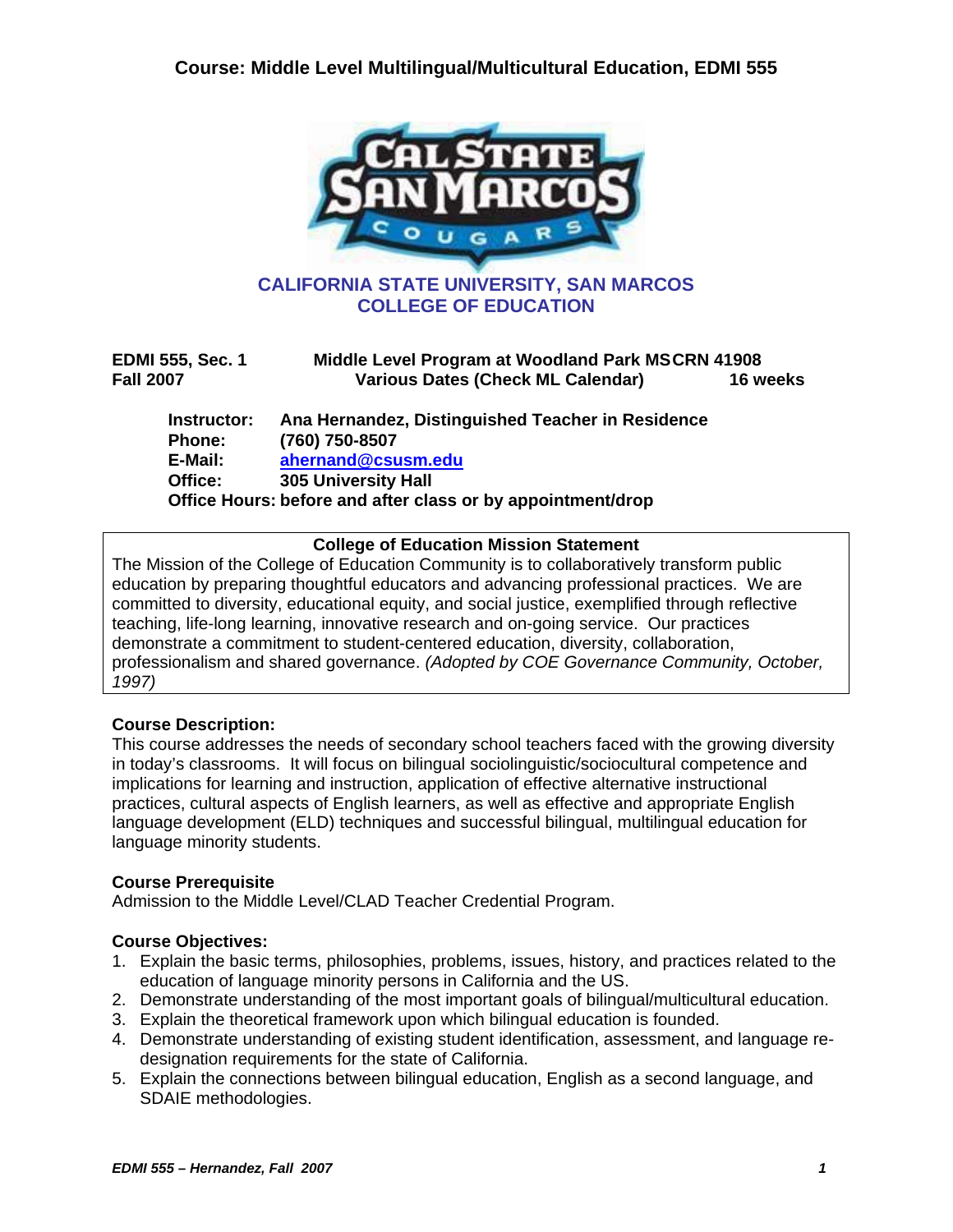

| <b>EDMI 555, Sec. 1</b><br><b>Fall 2007</b>        | Middle Level Program at Woodland Park MSCRN 41908<br><b>Various Dates (Check ML Calendar)</b><br>16 weeks                                                                              |  |
|----------------------------------------------------|----------------------------------------------------------------------------------------------------------------------------------------------------------------------------------------|--|
| Instructor:<br><b>Phone:</b><br>E-Mail:<br>Office: | Ana Hernandez, Distinguished Teacher in Residence<br>(760) 750-8507<br>ahernand@csusm.edu<br><b>305 University Hall</b><br>Office Hours: before and after class or by appointment/drop |  |

#### **College of Education Mission Statement**

The Mission of the College of Education Community is to collaboratively transform public education by preparing thoughtful educators and advancing professional practices. We are committed to diversity, educational equity, and social justice, exemplified through reflective teaching, life-long learning, innovative research and on-going service. Our practices demonstrate a commitment to student-centered education, diversity, collaboration, professionalism and shared governance. *(Adopted by COE Governance Community, October, 1997)*

### **Course Description:**

This course addresses the needs of secondary school teachers faced with the growing diversity in today's classrooms. It will focus on bilingual sociolinguistic/sociocultural competence and implications for learning and instruction, application of effective alternative instructional practices, cultural aspects of English learners, as well as effective and appropriate English language development (ELD) techniques and successful bilingual, multilingual education for language minority students.

### **Course Prerequisite**

Admission to the Middle Level/CLAD Teacher Credential Program.

### **Course Objectives:**

- 1. Explain the basic terms, philosophies, problems, issues, history, and practices related to the education of language minority persons in California and the US.
- 2. Demonstrate understanding of the most important goals of bilingual/multicultural education.
- 3. Explain the theoretical framework upon which bilingual education is founded.
- 4. Demonstrate understanding of existing student identification, assessment, and language redesignation requirements for the state of California.
- 5. Explain the connections between bilingual education, English as a second language, and SDAIE methodologies.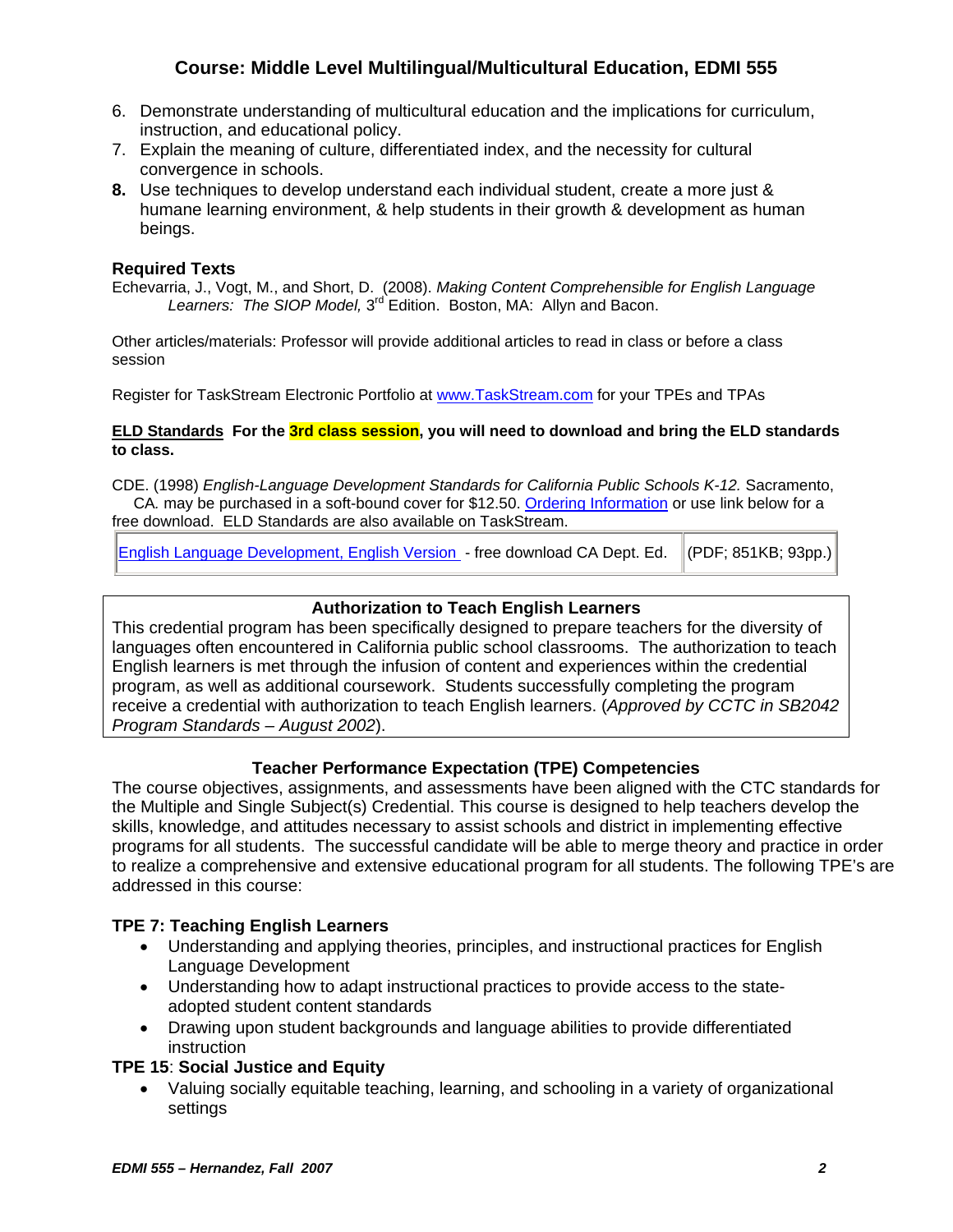- 6. Demonstrate understanding of multicultural education and the implications for curriculum, instruction, and educational policy.
- 7. Explain the meaning of culture, differentiated index, and the necessity for cultural convergence in schools.
- **8.** Use techniques to develop understand each individual student, create a more just & humane learning environment, & help students in their growth & development as human beings.

### **Required Texts**

Echevarria, J., Vogt, M., and Short, D. (2008). *Making Content Comprehensible for English Language*  Learners: The SIOP Model, 3<sup>rd</sup> Edition. Boston, MA: Allyn and Bacon.

Other articles/materials: Professor will provide additional articles to read in class or before a class session

Register for TaskStream Electronic Portfolio at www.TaskStream.com for your TPEs and TPAs

#### **ELD Standards For the 3rd class session, you will need to download and bring the ELD standards to class.**

CDE. (1998) *English-Language Development Standards for California Public Schools K-12.* Sacramento, CA*.* may be purchased in a soft-bound cover for \$12.50. Ordering Information or use link below for a free download. ELD Standards are also available on TaskStream.

| English Language Development, English Version - free download CA Dept. Ed. (PDF; 851KB; 93pp.) |
|------------------------------------------------------------------------------------------------|
|------------------------------------------------------------------------------------------------|

### **Authorization to Teach English Learners**

This credential program has been specifically designed to prepare teachers for the diversity of languages often encountered in California public school classrooms. The authorization to teach English learners is met through the infusion of content and experiences within the credential program, as well as additional coursework. Students successfully completing the program receive a credential with authorization to teach English learners. (*Approved by CCTC in SB2042 Program Standards – August 2002*).

### **Teacher Performance Expectation (TPE) Competencies**

The course objectives, assignments, and assessments have been aligned with the CTC standards for the Multiple and Single Subject(s) Credential. This course is designed to help teachers develop the skills, knowledge, and attitudes necessary to assist schools and district in implementing effective programs for all students. The successful candidate will be able to merge theory and practice in order to realize a comprehensive and extensive educational program for all students. The following TPE's are addressed in this course:

### **TPE 7: Teaching English Learners**

- Understanding and applying theories, principles, and instructional practices for English Language Development
- Understanding how to adapt instructional practices to provide access to the stateadopted student content standards
- Drawing upon student backgrounds and language abilities to provide differentiated instruction

### **TPE 15**: **Social Justice and Equity**

• Valuing socially equitable teaching, learning, and schooling in a variety of organizational settings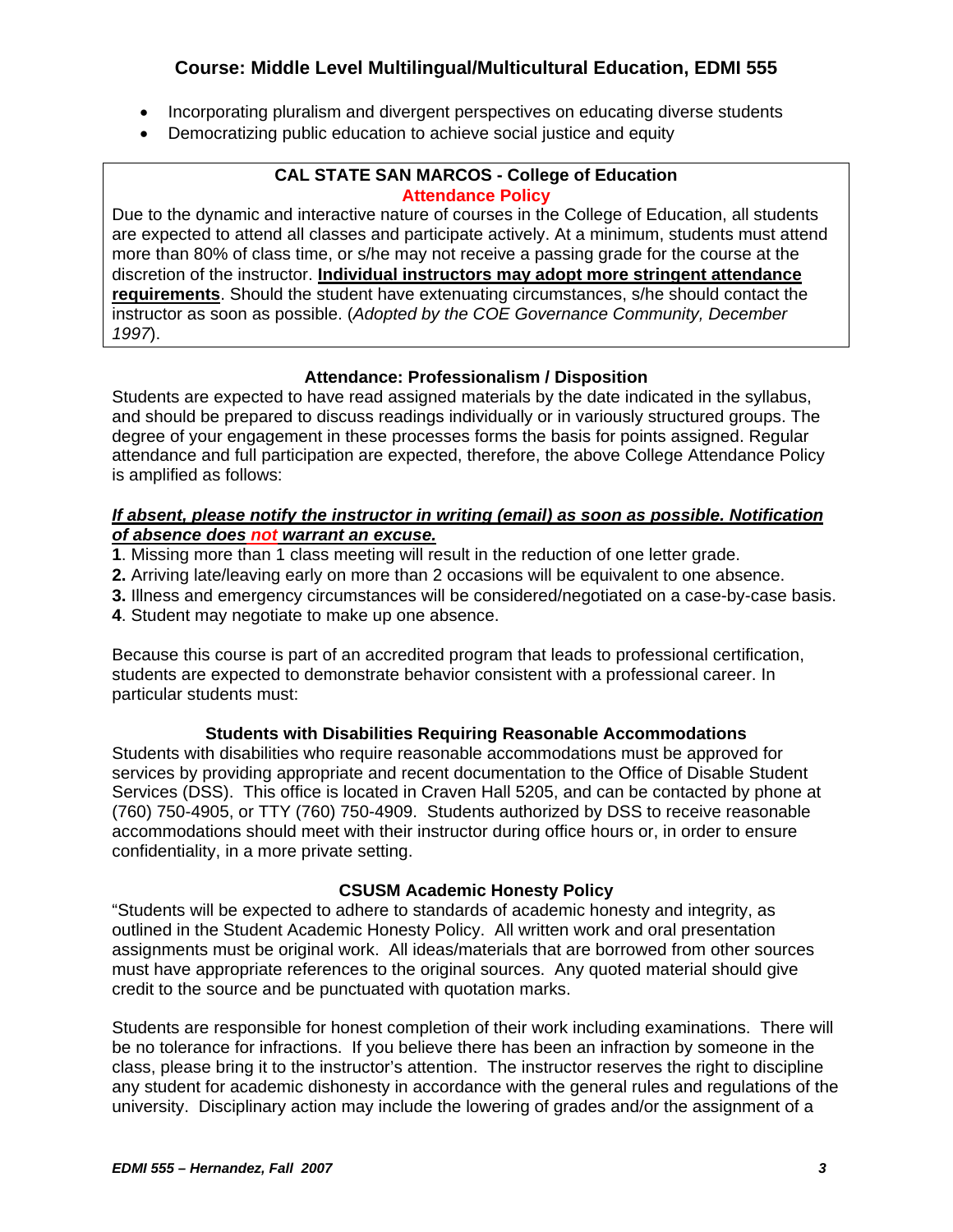- Incorporating pluralism and divergent perspectives on educating diverse students
- Democratizing public education to achieve social justice and equity

## **CAL STATE SAN MARCOS - College of Education Attendance Policy**

Due to the dynamic and interactive nature of courses in the College of Education, all students are expected to attend all classes and participate actively. At a minimum, students must attend more than 80% of class time, or s/he may not receive a passing grade for the course at the discretion of the instructor. **Individual instructors may adopt more stringent attendance requirements**. Should the student have extenuating circumstances, s/he should contact the instructor as soon as possible. (*Adopted by the COE Governance Community, December 1997*).

# **Attendance: Professionalism / Disposition**

Students are expected to have read assigned materials by the date indicated in the syllabus, and should be prepared to discuss readings individually or in variously structured groups. The degree of your engagement in these processes forms the basis for points assigned. Regular attendance and full participation are expected, therefore, the above College Attendance Policy is amplified as follows:

#### *If absent, please notify the instructor in writing (email) as soon as possible. Notification of absence does not warrant an excuse.*

- **1**. Missing more than 1 class meeting will result in the reduction of one letter grade.
- **2.** Arriving late/leaving early on more than 2 occasions will be equivalent to one absence.
- **3.** Illness and emergency circumstances will be considered/negotiated on a case-by-case basis.
- **4**. Student may negotiate to make up one absence.

Because this course is part of an accredited program that leads to professional certification, students are expected to demonstrate behavior consistent with a professional career. In particular students must:

### **Students with Disabilities Requiring Reasonable Accommodations**

Students with disabilities who require reasonable accommodations must be approved for services by providing appropriate and recent documentation to the Office of Disable Student Services (DSS). This office is located in Craven Hall 5205, and can be contacted by phone at (760) 750-4905, or TTY (760) 750-4909. Students authorized by DSS to receive reasonable accommodations should meet with their instructor during office hours or, in order to ensure confidentiality, in a more private setting.

### **CSUSM Academic Honesty Policy**

"Students will be expected to adhere to standards of academic honesty and integrity, as outlined in the Student Academic Honesty Policy. All written work and oral presentation assignments must be original work. All ideas/materials that are borrowed from other sources must have appropriate references to the original sources. Any quoted material should give credit to the source and be punctuated with quotation marks.

Students are responsible for honest completion of their work including examinations. There will be no tolerance for infractions. If you believe there has been an infraction by someone in the class, please bring it to the instructor's attention. The instructor reserves the right to discipline any student for academic dishonesty in accordance with the general rules and regulations of the university. Disciplinary action may include the lowering of grades and/or the assignment of a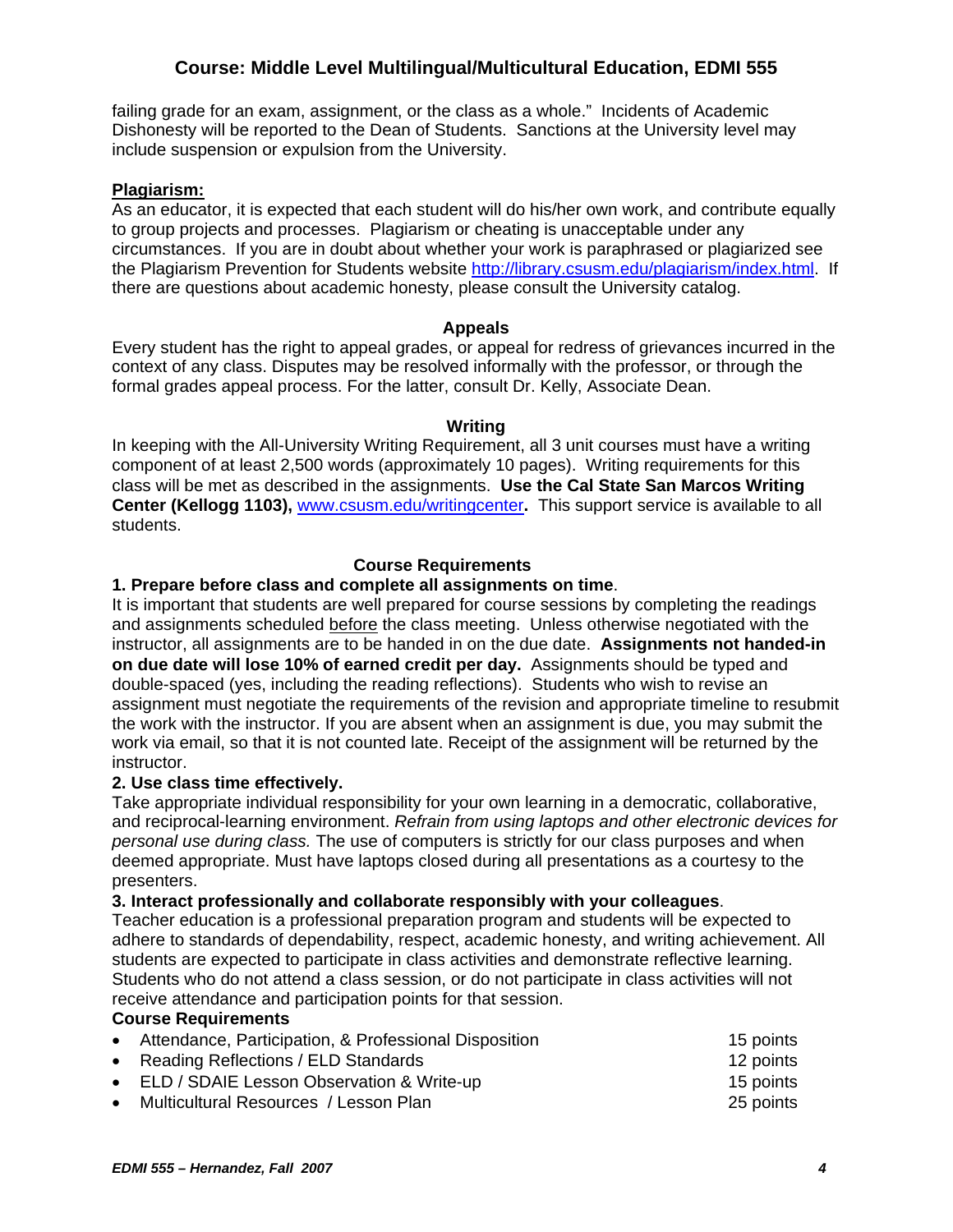failing grade for an exam, assignment, or the class as a whole." Incidents of Academic Dishonesty will be reported to the Dean of Students. Sanctions at the University level may include suspension or expulsion from the University.

#### **Plagiarism:**

As an educator, it is expected that each student will do his/her own work, and contribute equally to group projects and processes. Plagiarism or cheating is unacceptable under any circumstances. If you are in doubt about whether your work is paraphrased or plagiarized see the Plagiarism Prevention for Students website http://library.csusm.edu/plagiarism/index.html. If there are questions about academic honesty, please consult the University catalog.

#### **Appeals**

Every student has the right to appeal grades, or appeal for redress of grievances incurred in the context of any class. Disputes may be resolved informally with the professor, or through the formal grades appeal process. For the latter, consult Dr. Kelly, Associate Dean.

#### **Writing**

In keeping with the All-University Writing Requirement, all 3 unit courses must have a writing component of at least 2,500 words (approximately 10 pages). Writing requirements for this class will be met as described in the assignments. **Use the Cal State San Marcos Writing Center (Kellogg 1103),** www.csusm.edu/writingcenter**.** This support service is available to all students.

# **Course Requirements**

#### **1. Prepare before class and complete all assignments on time**.

It is important that students are well prepared for course sessions by completing the readings and assignments scheduled before the class meeting. Unless otherwise negotiated with the instructor, all assignments are to be handed in on the due date. **Assignments not handed-in on due date will lose 10% of earned credit per day.** Assignments should be typed and double-spaced (yes, including the reading reflections). Students who wish to revise an assignment must negotiate the requirements of the revision and appropriate timeline to resubmit the work with the instructor. If you are absent when an assignment is due, you may submit the work via email, so that it is not counted late. Receipt of the assignment will be returned by the instructor.

#### **2. Use class time effectively.**

Take appropriate individual responsibility for your own learning in a democratic, collaborative, and reciprocal-learning environment. *Refrain from using laptops and other electronic devices for personal use during class.* The use of computers is strictly for our class purposes and when deemed appropriate. Must have laptops closed during all presentations as a courtesy to the presenters.

#### **3. Interact professionally and collaborate responsibly with your colleagues**.

Teacher education is a professional preparation program and students will be expected to adhere to standards of dependability, respect, academic honesty, and writing achievement. All students are expected to participate in class activities and demonstrate reflective learning. Students who do not attend a class session, or do not participate in class activities will not receive attendance and participation points for that session.

#### **Course Requirements**

| • Attendance, Participation, & Professional Disposition | 15 points |
|---------------------------------------------------------|-----------|
| • Reading Reflections / ELD Standards                   | 12 points |
| • ELD / SDAIE Lesson Observation & Write-up             | 15 points |
| • Multicultural Resources / Lesson Plan                 | 25 points |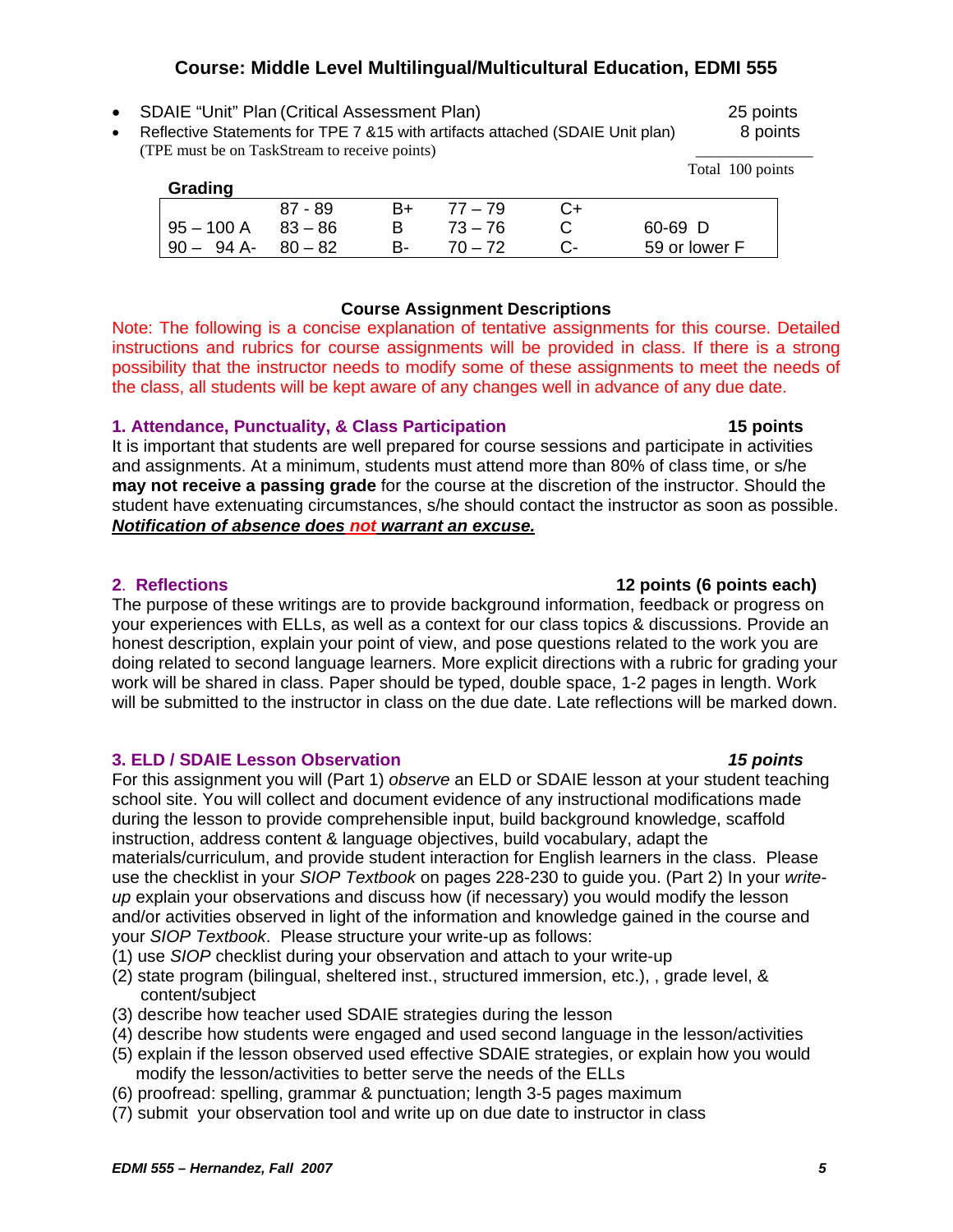• SDAIE "Unit" Plan (Critical Assessment Plan) 25 points

**Grading** 

• Reflective Statements for TPE 7 &15 with artifacts attached (SDAIE Unit plan) 8 points (TPE must be on TaskStream to receive points) \_\_\_\_\_\_\_\_\_\_\_\_\_\_\_

87 - 89 B+ 77 – 79 C+

#### **Course Assignment Descriptions**

Note: The following is a concise explanation of tentative assignments for this course. Detailed instructions and rubrics for course assignments will be provided in class. If there is a strong possibility that the instructor needs to modify some of these assignments to meet the needs of the class, all students will be kept aware of any changes well in advance of any due date.

### **1. Attendance, Punctuality, & Class Participation 15 points**

It is important that students are well prepared for course sessions and participate in activities and assignments. At a minimum, students must attend more than 80% of class time, or s/he **may not receive a passing grade** for the course at the discretion of the instructor. Should the student have extenuating circumstances, s/he should contact the instructor as soon as possible. *Notification of absence does not warrant an excuse.*

The purpose of these writings are to provide background information, feedback or progress on your experiences with ELLs, as well as a context for our class topics & discussions. Provide an honest description, explain your point of view, and pose questions related to the work you are doing related to second language learners. More explicit directions with a rubric for grading your work will be shared in class. Paper should be typed, double space, 1-2 pages in length. Work will be submitted to the instructor in class on the due date. Late reflections will be marked down.

### **3. ELD / SDAIE Lesson Observation** *15 points*

For this assignment you will (Part 1) *observe* an ELD or SDAIE lesson at your student teaching school site. You will collect and document evidence of any instructional modifications made during the lesson to provide comprehensible input, build background knowledge, scaffold instruction, address content & language objectives, build vocabulary, adapt the materials/curriculum, and provide student interaction for English learners in the class. Please use the checklist in your *SIOP Textbook* on pages 228-230 to guide you. (Part 2) In your *writeup* explain your observations and discuss how (if necessary) you would modify the lesson and/or activities observed in light of the information and knowledge gained in the course and your *SIOP Textbook*. Please structure your write-up as follows:

- (1) use *SIOP* checklist during your observation and attach to your write-up
- (2) state program (bilingual, sheltered inst., structured immersion, etc.), , grade level, & content/subject
- (3) describe how teacher used SDAIE strategies during the lesson
- (4) describe how students were engaged and used second language in the lesson/activities
- (5) explain if the lesson observed used effective SDAIE strategies, or explain how you would modify the lesson/activities to better serve the needs of the ELLs
- (6) proofread: spelling, grammar & punctuation; length 3-5 pages maximum
- (7) submit your observation tool and write up on due date to instructor in class

## **2**. **Reflections 12 points (6 points each)**

#### Total 100 points

95 – 100 A 83 – 86 B 73 – 76 C 60-69 D 90 – 94 A- 80 – 82 B- 70 – 72 C- 59 or lower F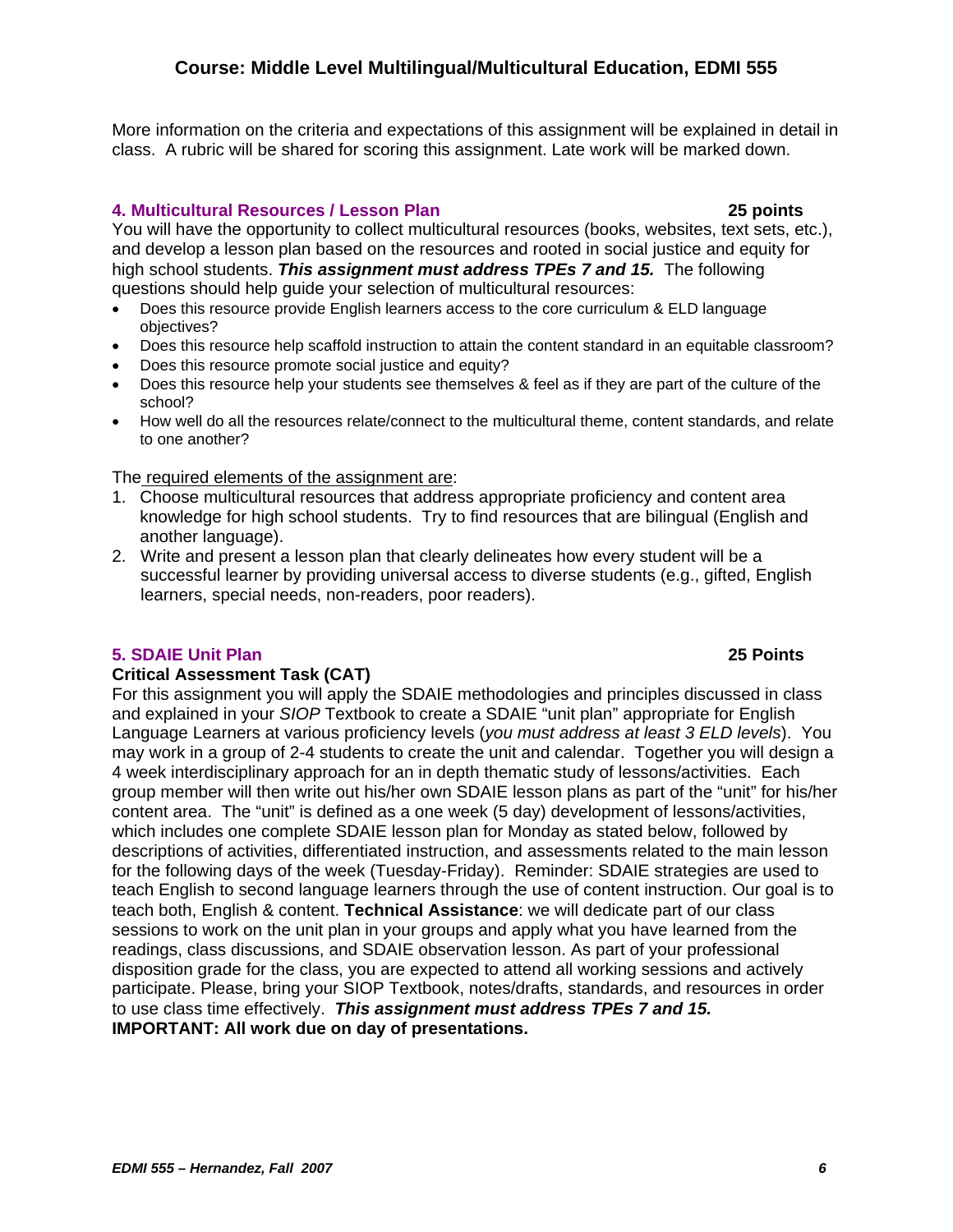More information on the criteria and expectations of this assignment will be explained in detail in class. A rubric will be shared for scoring this assignment. Late work will be marked down.

# **4. Multicultural Resources / Lesson Plan 25 points**

You will have the opportunity to collect multicultural resources (books, websites, text sets, etc.), and develop a lesson plan based on the resources and rooted in social justice and equity for high school students. *This assignment must address TPEs 7 and 15.* The following questions should help guide your selection of multicultural resources:

- Does this resource provide English learners access to the core curriculum & ELD language objectives?
- Does this resource help scaffold instruction to attain the content standard in an equitable classroom?
- Does this resource promote social justice and equity?
- Does this resource help your students see themselves & feel as if they are part of the culture of the school?
- How well do all the resources relate/connect to the multicultural theme, content standards, and relate to one another?

The required elements of the assignment are:

- 1. Choose multicultural resources that address appropriate proficiency and content area knowledge for high school students. Try to find resources that are bilingual (English and another language).
- 2. Write and present a lesson plan that clearly delineates how every student will be a successful learner by providing universal access to diverse students (e.g., gifted, English learners, special needs, non-readers, poor readers).

### **5. SDAIE Unit Plan 25 Points**

### **Critical Assessment Task (CAT)**

For this assignment you will apply the SDAIE methodologies and principles discussed in class and explained in your *SIOP* Textbook to create a SDAIE "unit plan" appropriate for English Language Learners at various proficiency levels (*you must address at least 3 ELD levels*). You may work in a group of 2-4 students to create the unit and calendar. Together you will design a 4 week interdisciplinary approach for an in depth thematic study of lessons/activities. Each group member will then write out his/her own SDAIE lesson plans as part of the "unit" for his/her content area. The "unit" is defined as a one week (5 day) development of lessons/activities, which includes one complete SDAIE lesson plan for Monday as stated below, followed by descriptions of activities, differentiated instruction, and assessments related to the main lesson for the following days of the week (Tuesday-Friday). Reminder: SDAIE strategies are used to teach English to second language learners through the use of content instruction. Our goal is to teach both, English & content. **Technical Assistance**: we will dedicate part of our class sessions to work on the unit plan in your groups and apply what you have learned from the readings, class discussions, and SDAIE observation lesson. As part of your professional disposition grade for the class, you are expected to attend all working sessions and actively participate. Please, bring your SIOP Textbook, notes/drafts, standards, and resources in order to use class time effectively. *This assignment must address TPEs 7 and 15.* **IMPORTANT: All work due on day of presentations.**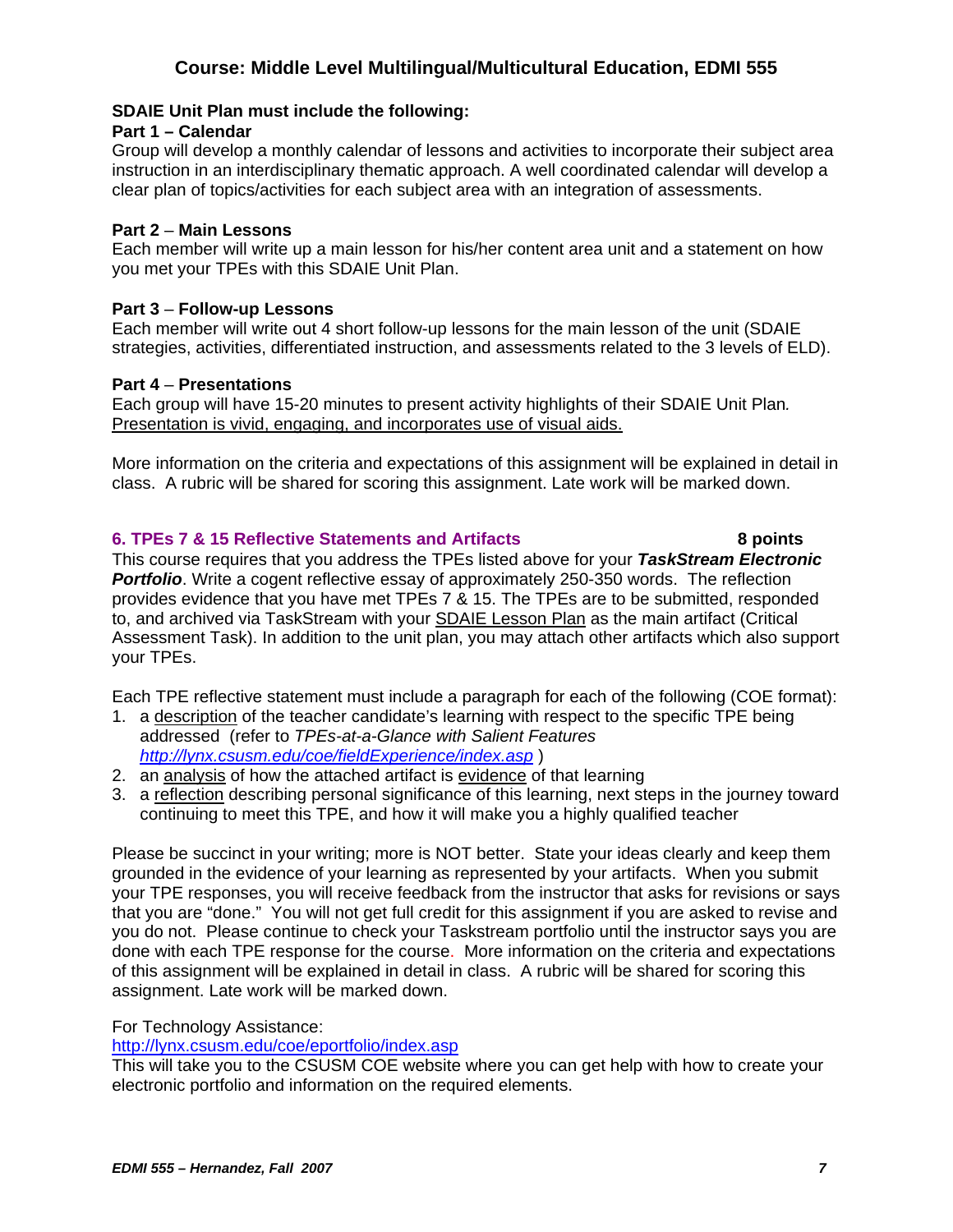#### **SDAIE Unit Plan must include the following:**

#### **Part 1 – Calendar**

Group will develop a monthly calendar of lessons and activities to incorporate their subject area instruction in an interdisciplinary thematic approach. A well coordinated calendar will develop a clear plan of topics/activities for each subject area with an integration of assessments.

#### **Part 2** – **Main Lessons**

Each member will write up a main lesson for his/her content area unit and a statement on how you met your TPEs with this SDAIE Unit Plan.

#### **Part 3** – **Follow-up Lessons**

Each member will write out 4 short follow-up lessons for the main lesson of the unit (SDAIE strategies, activities, differentiated instruction, and assessments related to the 3 levels of ELD).

#### **Part 4** – **Presentations**

Each group will have 15-20 minutes to present activity highlights of their SDAIE Unit Plan*.*  Presentation is vivid, engaging, and incorporates use of visual aids.

More information on the criteria and expectations of this assignment will be explained in detail in class. A rubric will be shared for scoring this assignment. Late work will be marked down.

### **6. TPEs 7 & 15 Reflective Statements and Artifacts 8 points**

This course requires that you address the TPEs listed above for your *TaskStream Electronic*  **Portfolio**. Write a cogent reflective essay of approximately 250-350 words. The reflection provides evidence that you have met TPEs 7 & 15. The TPEs are to be submitted, responded to, and archived via TaskStream with your SDAIE Lesson Plan as the main artifact (Critical Assessment Task). In addition to the unit plan, you may attach other artifacts which also support your TPEs.

Each TPE reflective statement must include a paragraph for each of the following (COE format):

- 1. a description of the teacher candidate's learning with respect to the specific TPE being addressed (refer to *TPEs-at-a-Glance with Salient Features http://lynx.csusm.edu/coe/fieldExperience/index.asp* )
- 2. an analysis of how the attached artifact is evidence of that learning
- 3. a reflection describing personal significance of this learning, next steps in the journey toward continuing to meet this TPE, and how it will make you a highly qualified teacher

Please be succinct in your writing; more is NOT better. State your ideas clearly and keep them grounded in the evidence of your learning as represented by your artifacts. When you submit your TPE responses, you will receive feedback from the instructor that asks for revisions or says that you are "done." You will not get full credit for this assignment if you are asked to revise and you do not. Please continue to check your Taskstream portfolio until the instructor says you are done with each TPE response for the course. More information on the criteria and expectations of this assignment will be explained in detail in class. A rubric will be shared for scoring this assignment. Late work will be marked down.

### For Technology Assistance:

### http://lynx.csusm.edu/coe/eportfolio/index.asp

This will take you to the CSUSM COE website where you can get help with how to create your electronic portfolio and information on the required elements.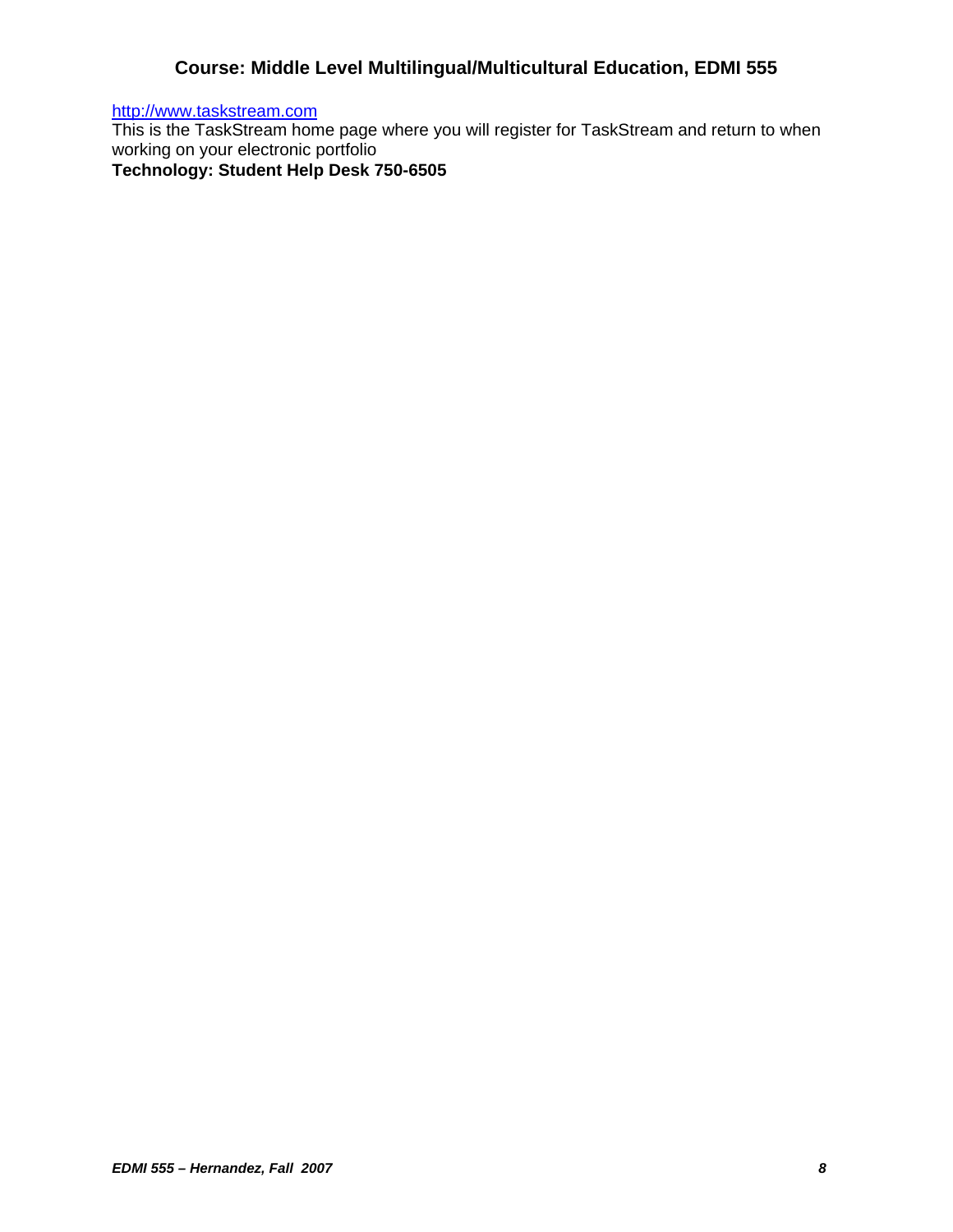http://www.taskstream.com

This is the TaskStream home page where you will register for TaskStream and return to when working on your electronic portfolio

**Technology: Student Help Desk 750-6505**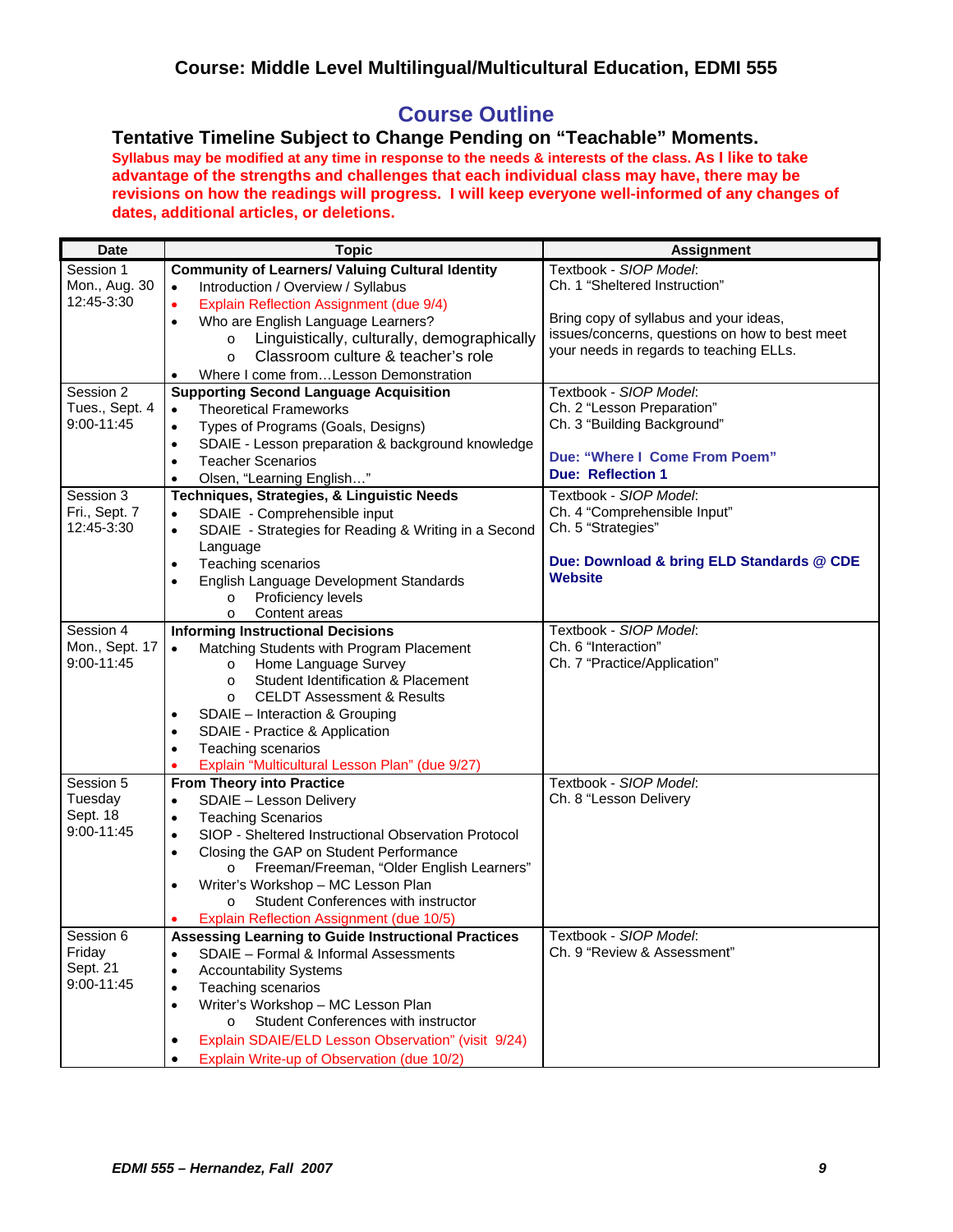# **Course Outline**

**Tentative Timeline Subject to Change Pending on "Teachable" Moments. Syllabus may be modified at any time in response to the needs & interests of the class. As I like to take advantage of the strengths and challenges that each individual class may have, there may be revisions on how the readings will progress. I will keep everyone well-informed of any changes of dates, additional articles, or deletions.**

| <b>Date</b>    | <b>Topic</b>                                                      | <b>Assignment</b>                              |
|----------------|-------------------------------------------------------------------|------------------------------------------------|
| Session 1      | <b>Community of Learners/ Valuing Cultural Identity</b>           | Textbook - SIOP Model:                         |
| Mon., Aug. 30  | Introduction / Overview / Syllabus<br>$\bullet$                   | Ch. 1 "Sheltered Instruction"                  |
| 12:45-3:30     | Explain Reflection Assignment (due 9/4)<br>$\bullet$              |                                                |
|                | Who are English Language Learners?<br>$\bullet$                   | Bring copy of syllabus and your ideas,         |
|                | Linguistically, culturally, demographically<br>$\circ$            | issues/concerns, questions on how to best meet |
|                | Classroom culture & teacher's role<br>$\Omega$                    | your needs in regards to teaching ELLs.        |
|                | Where I come fromLesson Demonstration<br>٠                        |                                                |
| Session 2      | <b>Supporting Second Language Acquisition</b>                     | Textbook - SIOP Model:                         |
| Tues., Sept. 4 | <b>Theoretical Frameworks</b><br>$\bullet$                        | Ch. 2 "Lesson Preparation"                     |
| 9:00-11:45     | Types of Programs (Goals, Designs)<br>$\bullet$                   | Ch. 3 "Building Background"                    |
|                | SDAIE - Lesson preparation & background knowledge<br>$\bullet$    |                                                |
|                | <b>Teacher Scenarios</b><br>$\bullet$                             | Due: "Where I Come From Poem"                  |
|                | Olsen, "Learning English"<br>$\bullet$                            | <b>Due: Reflection 1</b>                       |
| Session 3      | Techniques, Strategies, & Linguistic Needs                        | Textbook - SIOP Model:                         |
| Fri., Sept. 7  | SDAIE - Comprehensible input<br>$\bullet$                         | Ch. 4 "Comprehensible Input"                   |
| 12:45-3:30     | SDAIE - Strategies for Reading & Writing in a Second<br>$\bullet$ | Ch. 5 "Strategies"                             |
|                | Language                                                          |                                                |
|                | Teaching scenarios<br>$\bullet$                                   | Due: Download & bring ELD Standards @ CDE      |
|                | English Language Development Standards<br>٠                       | Website                                        |
|                | Proficiency levels<br>$\circ$                                     |                                                |
|                | Content areas<br>$\circ$                                          |                                                |
| Session 4      | <b>Informing Instructional Decisions</b>                          | Textbook - SIOP Model:                         |
| Mon., Sept. 17 | Matching Students with Program Placement<br>$\bullet$             | Ch. 6 "Interaction"                            |
| 9:00-11:45     | Home Language Survey<br>$\circ$                                   | Ch. 7 "Practice/Application"                   |
|                | Student Identification & Placement<br>$\circ$                     |                                                |
|                | <b>CELDT Assessment &amp; Results</b><br>$\circ$                  |                                                |
|                | SDAIE - Interaction & Grouping                                    |                                                |
|                | SDAIE - Practice & Application<br>$\bullet$                       |                                                |
|                | Teaching scenarios<br>$\bullet$                                   |                                                |
|                | Explain "Multicultural Lesson Plan" (due 9/27)<br>٠               |                                                |
| Session 5      | <b>From Theory into Practice</b>                                  | Textbook - SIOP Model:                         |
| Tuesday        | SDAIE - Lesson Delivery<br>$\bullet$                              | Ch. 8 "Lesson Delivery                         |
| Sept. 18       | <b>Teaching Scenarios</b><br>٠                                    |                                                |
| 9:00-11:45     | SIOP - Sheltered Instructional Observation Protocol<br>$\bullet$  |                                                |
|                | Closing the GAP on Student Performance<br>$\bullet$               |                                                |
|                | Freeman/Freeman, "Older English Learners"<br>$\circ$              |                                                |
|                | Writer's Workshop - MC Lesson Plan<br>$\bullet$                   |                                                |
|                | Student Conferences with instructor<br>$\Omega$                   |                                                |
|                | Explain Reflection Assignment (due 10/5)                          |                                                |
| Session 6      | <b>Assessing Learning to Guide Instructional Practices</b>        | Textbook - SIOP Model:                         |
| Friday         | SDAIE - Formal & Informal Assessments<br>$\bullet$                | Ch. 9 "Review & Assessment"                    |
| Sept. 21       | <b>Accountability Systems</b><br>$\bullet$                        |                                                |
| 9:00-11:45     | Teaching scenarios<br>$\bullet$                                   |                                                |
|                | Writer's Workshop - MC Lesson Plan<br>$\bullet$                   |                                                |
|                | Student Conferences with instructor<br>$\circ$                    |                                                |
|                | Explain SDAIE/ELD Lesson Observation" (visit 9/24)<br>٠           |                                                |
|                | Explain Write-up of Observation (due 10/2)<br>$\bullet$           |                                                |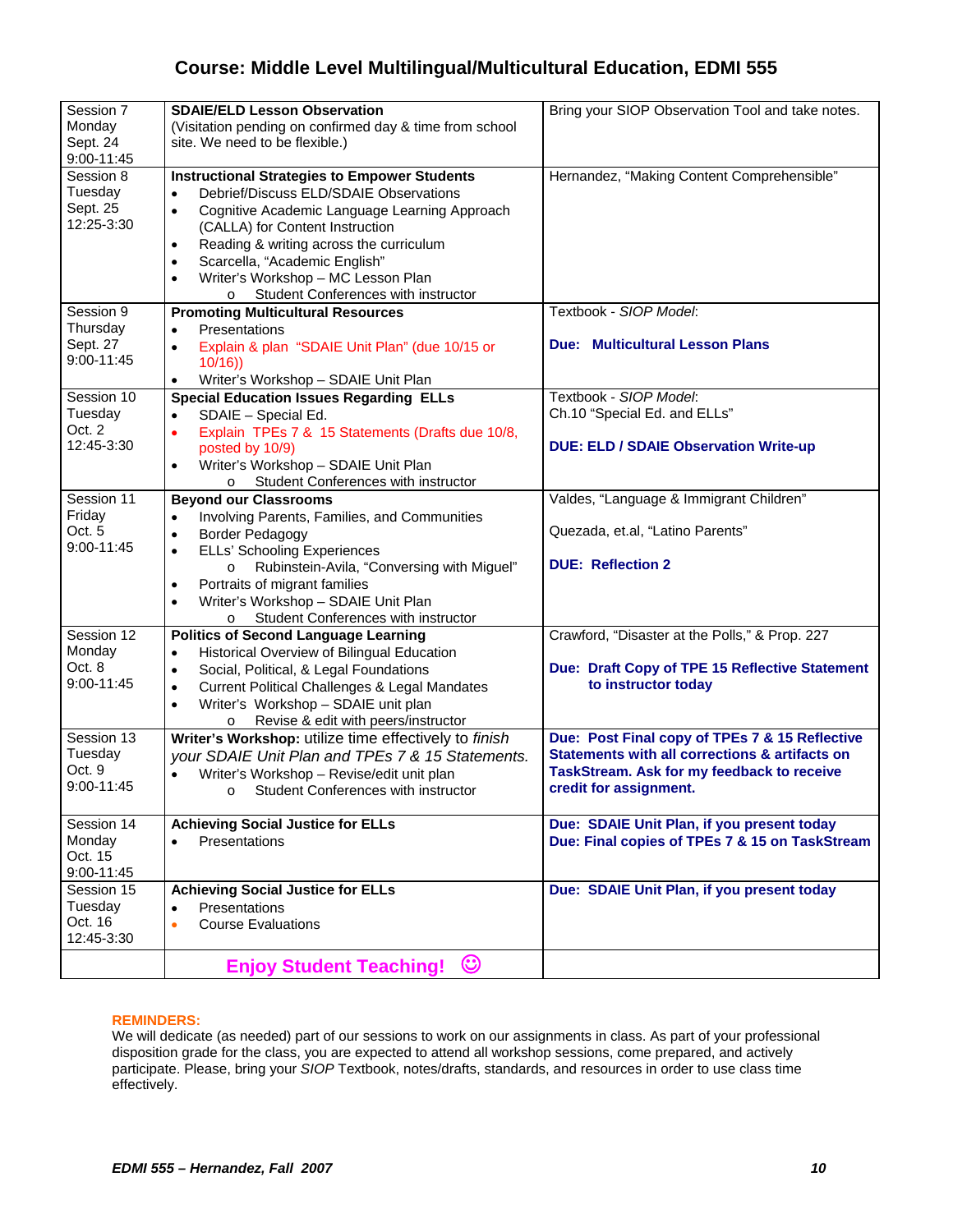| Session 7<br>Mondav<br>Sept. 24<br>9:00-11:45    | <b>SDAIE/ELD Lesson Observation</b><br>(Visitation pending on confirmed day & time from school<br>site. We need to be flexible.)                                                                                                                                                                                                                                                                                       | Bring your SIOP Observation Tool and take notes.                                                                                  |
|--------------------------------------------------|------------------------------------------------------------------------------------------------------------------------------------------------------------------------------------------------------------------------------------------------------------------------------------------------------------------------------------------------------------------------------------------------------------------------|-----------------------------------------------------------------------------------------------------------------------------------|
| Session 8<br>Tuesday<br>Sept. 25<br>12:25-3:30   | <b>Instructional Strategies to Empower Students</b><br>Debrief/Discuss ELD/SDAIE Observations<br>$\bullet$<br>Cognitive Academic Language Learning Approach<br>$\bullet$<br>(CALLA) for Content Instruction<br>Reading & writing across the curriculum<br>$\bullet$<br>Scarcella, "Academic English"<br>$\bullet$<br>Writer's Workshop - MC Lesson Plan<br>$\bullet$<br>Student Conferences with instructor<br>$\circ$ | Hernandez, "Making Content Comprehensible"                                                                                        |
| Session 9                                        | <b>Promoting Multicultural Resources</b>                                                                                                                                                                                                                                                                                                                                                                               | Textbook - SIOP Model:                                                                                                            |
| Thursday<br>Sept. 27<br>9:00-11:45               | Presentations<br>$\bullet$<br>Explain & plan "SDAIE Unit Plan" (due 10/15 or<br>$\bullet$<br>10/16)<br>Writer's Workshop - SDAIE Unit Plan<br>$\bullet$                                                                                                                                                                                                                                                                | <b>Due: Multicultural Lesson Plans</b>                                                                                            |
| Session 10                                       | <b>Special Education Issues Regarding ELLs</b>                                                                                                                                                                                                                                                                                                                                                                         | Textbook - SIOP Model:                                                                                                            |
| Tuesday                                          | SDAIE - Special Ed.<br>$\bullet$                                                                                                                                                                                                                                                                                                                                                                                       | Ch.10 "Special Ed. and ELLs"                                                                                                      |
| Oct. 2<br>12:45-3:30                             | Explain TPEs 7 & 15 Statements (Drafts due 10/8,<br>$\bullet$<br>posted by 10/9)<br>Writer's Workshop - SDAIE Unit Plan<br>$\bullet$                                                                                                                                                                                                                                                                                   | <b>DUE: ELD / SDAIE Observation Write-up</b>                                                                                      |
|                                                  | Student Conferences with instructor<br>$\circ$                                                                                                                                                                                                                                                                                                                                                                         |                                                                                                                                   |
| Session 11<br>Friday<br>Oct. 5<br>$9:00 - 11:45$ | <b>Beyond our Classrooms</b><br>Involving Parents, Families, and Communities<br>$\bullet$<br><b>Border Pedagogy</b><br>$\bullet$<br><b>ELLs' Schooling Experiences</b><br>$\bullet$<br>Rubinstein-Avila, "Conversing with Miguel"<br>$\circ$<br>Portraits of migrant families<br>$\bullet$<br>Writer's Workshop - SDAIE Unit Plan<br>$\bullet$<br>Student Conferences with instructor<br>$\Omega$                      | Valdes, "Language & Immigrant Children"<br>Quezada, et.al, "Latino Parents"<br><b>DUE: Reflection 2</b>                           |
| Session 12                                       | <b>Politics of Second Language Learning</b>                                                                                                                                                                                                                                                                                                                                                                            | Crawford, "Disaster at the Polls," & Prop. 227                                                                                    |
| Monday<br>Oct. 8<br>9:00-11:45                   | Historical Overview of Bilingual Education<br>$\bullet$<br>Social, Political, & Legal Foundations<br>$\bullet$<br><b>Current Political Challenges &amp; Legal Mandates</b><br>$\bullet$<br>Writer's Workshop - SDAIE unit plan<br>$\bullet$<br>Revise & edit with peers/instructor<br>$\circ$                                                                                                                          | Due: Draft Copy of TPE 15 Reflective Statement<br>to instructor today                                                             |
| Session 13                                       | Writer's Workshop: utilize time effectively to finish                                                                                                                                                                                                                                                                                                                                                                  | Due: Post Final copy of TPEs 7 & 15 Reflective                                                                                    |
| Tuesday<br>Oct. 9<br>9:00-11:45                  | your SDAIE Unit Plan and TPEs 7 & 15 Statements.<br>Writer's Workshop - Revise/edit unit plan<br>$\bullet$<br>o Student Conferences with instructor                                                                                                                                                                                                                                                                    | <b>Statements with all corrections &amp; artifacts on</b><br>TaskStream. Ask for my feedback to receive<br>credit for assignment. |
| Session 14<br>Monday                             | <b>Achieving Social Justice for ELLs</b><br>Presentations<br>$\bullet$                                                                                                                                                                                                                                                                                                                                                 | Due: SDAIE Unit Plan, if you present today<br>Due: Final copies of TPEs 7 & 15 on TaskStream                                      |
| Oct. 15<br>9:00-11:45                            |                                                                                                                                                                                                                                                                                                                                                                                                                        |                                                                                                                                   |
| Session 15                                       | <b>Achieving Social Justice for ELLs</b>                                                                                                                                                                                                                                                                                                                                                                               | Due: SDAIE Unit Plan, if you present today                                                                                        |
| Tuesday                                          | Presentations<br>$\bullet$                                                                                                                                                                                                                                                                                                                                                                                             |                                                                                                                                   |
| Oct. 16<br>12:45-3:30                            | <b>Course Evaluations</b><br>$\bullet$                                                                                                                                                                                                                                                                                                                                                                                 |                                                                                                                                   |
|                                                  | Enjoy Student Teaching! ©                                                                                                                                                                                                                                                                                                                                                                                              |                                                                                                                                   |

#### **REMINDERS:**

We will dedicate (as needed) part of our sessions to work on our assignments in class. As part of your professional disposition grade for the class, you are expected to attend all workshop sessions, come prepared, and actively participate. Please, bring your *SIOP* Textbook, notes/drafts, standards, and resources in order to use class time effectively.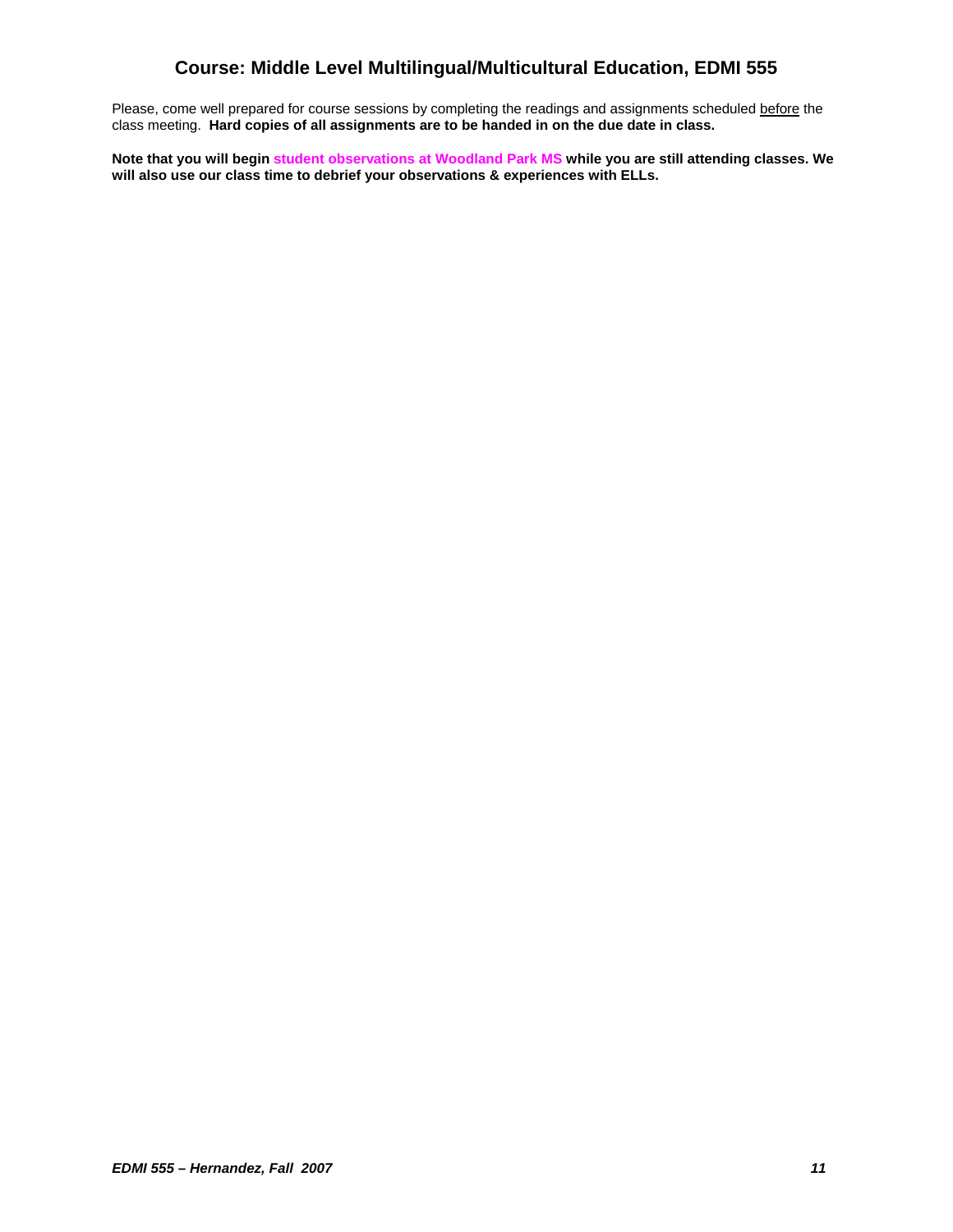Please, come well prepared for course sessions by completing the readings and assignments scheduled before the class meeting. **Hard copies of all assignments are to be handed in on the due date in class.** 

**Note that you will begin student observations at Woodland Park MS while you are still attending classes. We will also use our class time to debrief your observations & experiences with ELLs.**